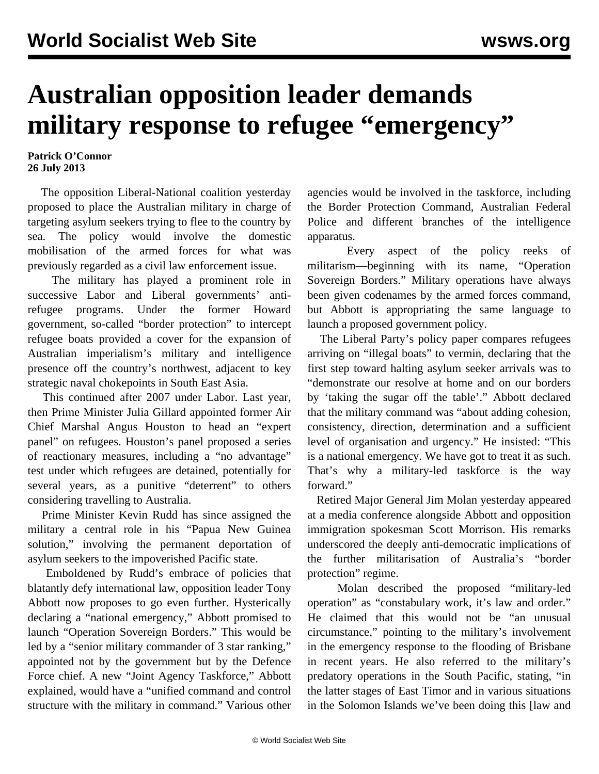## **Australian opposition leader demands military response to refugee "emergency"**

## **Patrick O'Connor 26 July 2013**

 The opposition Liberal-National coalition yesterday proposed to place the Australian military in charge of targeting asylum seekers trying to flee to the country by sea. The policy would involve the domestic mobilisation of the armed forces for what was previously regarded as a civil law enforcement issue.

 The military has played a prominent role in successive Labor and Liberal governments' antirefugee programs. Under the former Howard government, so-called "border protection" to intercept refugee boats provided a cover for the expansion of Australian imperialism's military and intelligence presence off the country's northwest, adjacent to key strategic naval chokepoints in South East Asia.

 This continued after 2007 under Labor. Last year, then Prime Minister Julia Gillard appointed former Air Chief Marshal Angus Houston to head an "expert panel" on refugees. Houston's panel proposed a series of reactionary measures, including a "no advantage" test under which refugees are detained, potentially for several years, as a punitive "deterrent" to others considering travelling to Australia.

 Prime Minister Kevin Rudd has since assigned the military a central role in his "Papua New Guinea solution," involving the permanent deportation of asylum seekers to the impoverished Pacific state.

 Emboldened by Rudd's embrace of policies that blatantly defy international law, opposition leader Tony Abbott now proposes to go even further. Hysterically declaring a "national emergency," Abbott promised to launch "Operation Sovereign Borders." This would be led by a "senior military commander of 3 star ranking," appointed not by the government but by the Defence Force chief. A new "Joint Agency Taskforce," Abbott explained, would have a "unified command and control structure with the military in command." Various other agencies would be involved in the taskforce, including the Border Protection Command, Australian Federal Police and different branches of the intelligence apparatus.

 Every aspect of the policy reeks of militarism—beginning with its name, "Operation Sovereign Borders." Military operations have always been given codenames by the armed forces command, but Abbott is appropriating the same language to launch a proposed government policy.

 The Liberal Party's policy paper compares refugees arriving on "illegal boats" to vermin, declaring that the first step toward halting asylum seeker arrivals was to "demonstrate our resolve at home and on our borders by 'taking the sugar off the table'." Abbott declared that the military command was "about adding cohesion, consistency, direction, determination and a sufficient level of organisation and urgency." He insisted: "This is a national emergency. We have got to treat it as such. That's why a military-led taskforce is the way forward."

 Retired Major General Jim Molan yesterday appeared at a media conference alongside Abbott and opposition immigration spokesman Scott Morrison. His remarks underscored the deeply anti-democratic implications of the further militarisation of Australia's "border protection" regime.

 Molan described the proposed "military-led operation" as "constabulary work, it's law and order." He claimed that this would not be "an unusual circumstance," pointing to the military's involvement in the emergency response to the flooding of Brisbane in recent years. He also referred to the military's predatory operations in the South Pacific, stating, "in the latter stages of East Timor and in various situations in the Solomon Islands we've been doing this [law and